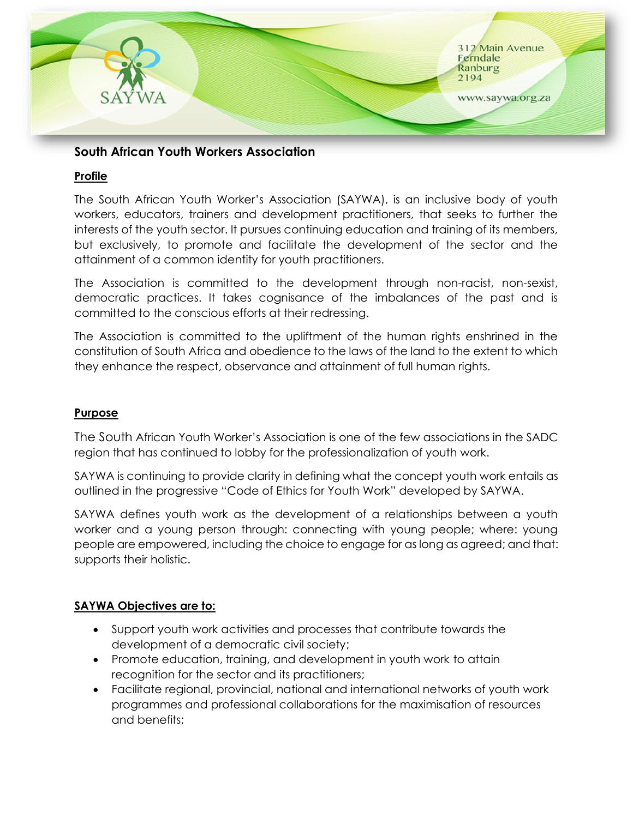

# **South African Youth Workers Association**

### **Profile**

The South African Youth Worker's Association (SAYWA), is an inclusive body of youth workers, educators, trainers and development practitioners, that seeks to further the interests of the youth sector. It pursues continuing education and training of its members, but exclusively, to promote and facilitate the development of the sector and the attainment of a common identity for youth practitioners.

The Association is committed to the development through non-racist, non-sexist, democratic practices. It takes cognisance of the imbalances of the past and is committed to the conscious efforts at their redressing.

The Association is committed to the upliftment of the human rights enshrined in the constitution of South Africa and obedience to the laws of the land to the extent to which they enhance the respect, observance and attainment of full human rights.

## **Purpose**

The South African Youth Worker's Association is one of the few associations in the SADC region that has continued to lobby for the professionalization of youth work.

SAYWA is continuing to provide clarity in defining what the concept youth work entails as outlined in the progressive "Code of Ethics for Youth Work" developed by SAYWA.

SAYWA defines youth work as the development of a relationships between a youth worker and a young person through: connecting with young people; where: young people are empowered, including the choice to engage for as long as agreed; and that: supports their holistic.

#### **SAYWA Objectives are to:**

- Support youth work activities and processes that contribute towards the development of a democratic civil society;
- Promote education, training, and development in youth work to attain recognition for the sector and its practitioners;
- Facilitate regional, provincial, national and international networks of youth work programmes and professional collaborations for the maximisation of resources and benefits;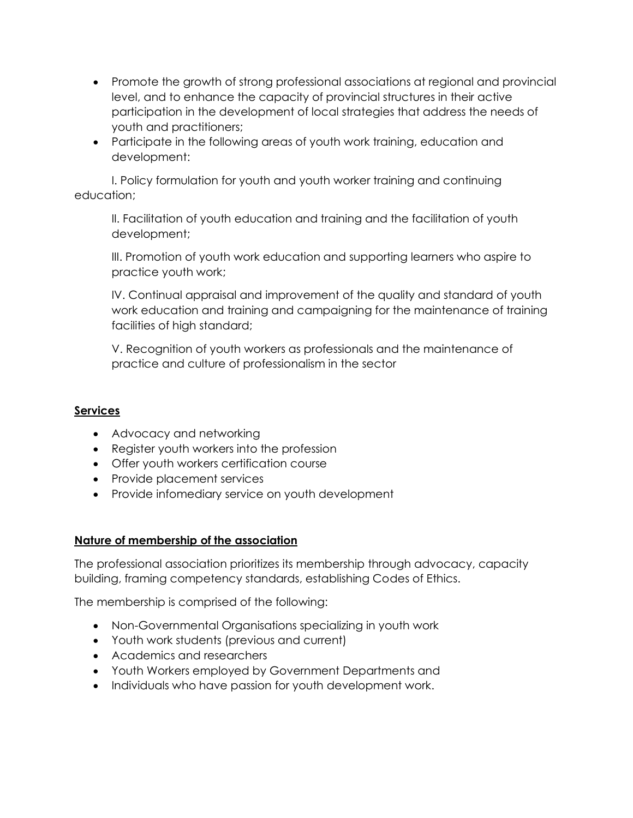- Promote the growth of strong professional associations at regional and provincial level, and to enhance the capacity of provincial structures in their active participation in the development of local strategies that address the needs of youth and practitioners;
- Participate in the following areas of youth work training, education and development:

I. Policy formulation for youth and youth worker training and continuing education;

II. Facilitation of youth education and training and the facilitation of youth development;

III. Promotion of youth work education and supporting learners who aspire to practice youth work;

IV. Continual appraisal and improvement of the quality and standard of youth work education and training and campaigning for the maintenance of training facilities of high standard;

V. Recognition of youth workers as professionals and the maintenance of practice and culture of professionalism in the sector

## **Services**

- Advocacy and networking
- Register youth workers into the profession
- Offer youth workers certification course
- Provide placement services
- Provide infomediary service on youth development

## **Nature of membership of the association**

The professional association prioritizes its membership through advocacy, capacity building, framing competency standards, establishing Codes of Ethics.

The membership is comprised of the following:

- Non-Governmental Organisations specializing in youth work
- Youth work students (previous and current)
- Academics and researchers
- Youth Workers employed by Government Departments and
- Individuals who have passion for youth development work.